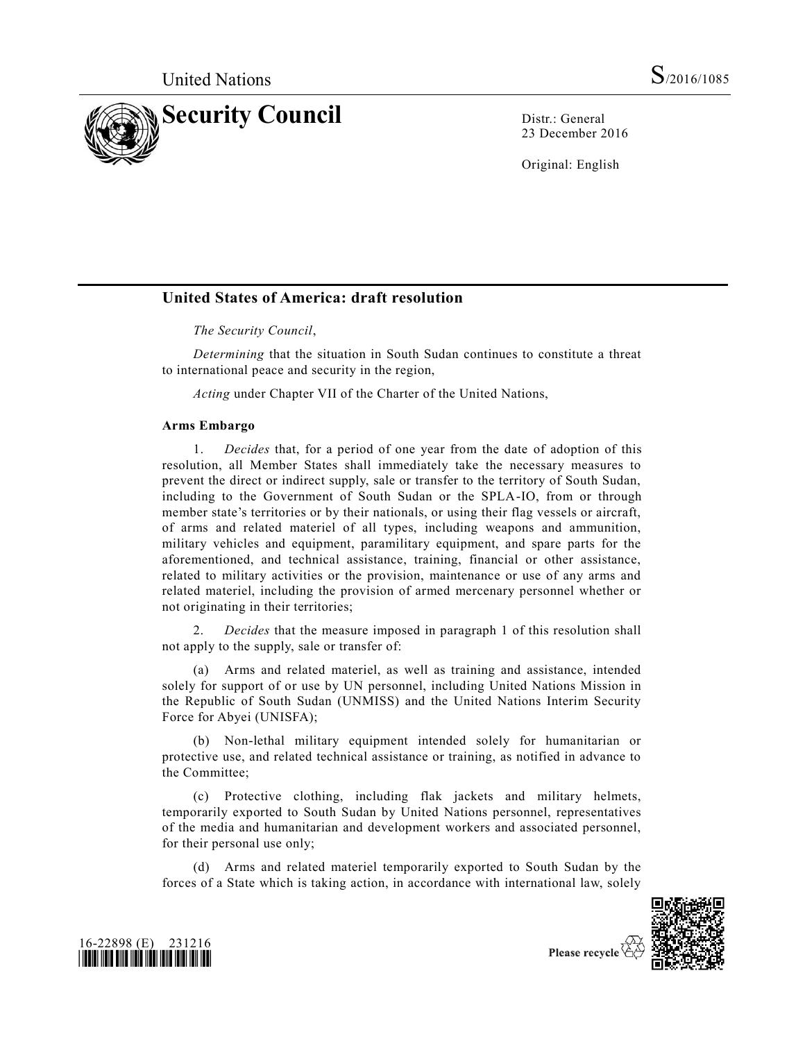

23 December 2016

Original: English

# **United States of America: draft resolution**

*The Security Council*,

*Determining* that the situation in South Sudan continues to constitute a threat to international peace and security in the region,

*Acting* under Chapter VII of the Charter of the United Nations,

#### **Arms Embargo**

1. *Decides* that, for a period of one year from the date of adoption of this resolution, all Member States shall immediately take the necessary measures to prevent the direct or indirect supply, sale or transfer to the territory of South Sudan, including to the Government of South Sudan or the SPLA-IO, from or through member state's territories or by their nationals, or using their flag vessels or aircraft, of arms and related materiel of all types, including weapons and ammunition, military vehicles and equipment, paramilitary equipment, and spare parts for the aforementioned, and technical assistance, training, financial or other assistance, related to military activities or the provision, maintenance or use of any arms and related materiel, including the provision of armed mercenary personnel whether or not originating in their territories;

2. *Decides* that the measure imposed in paragraph 1 of this resolution shall not apply to the supply, sale or transfer of:

(a) Arms and related materiel, as well as training and assistance, intended solely for support of or use by UN personnel, including United Nations Mission in the Republic of South Sudan (UNMISS) and the United Nations Interim Security Force for Abyei (UNISFA);

(b) Non-lethal military equipment intended solely for humanitarian or protective use, and related technical assistance or training, as notified in advance to the Committee;

(c) Protective clothing, including flak jackets and military helmets, temporarily exported to South Sudan by United Nations personnel, representatives of the media and humanitarian and development workers and associated personnel, for their personal use only;

(d) Arms and related materiel temporarily exported to South Sudan by the forces of a State which is taking action, in accordance with international law, solely





Please recycle  $\Diamond$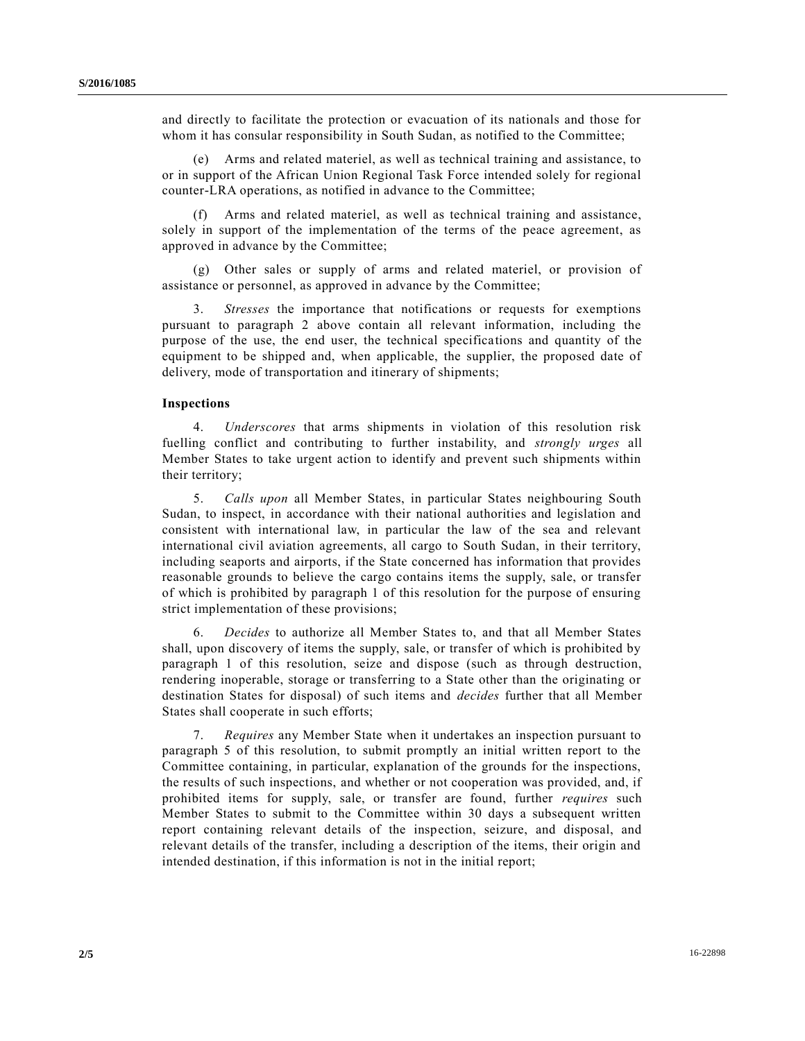and directly to facilitate the protection or evacuation of its nationals and those for whom it has consular responsibility in South Sudan, as notified to the Committee;

(e) Arms and related materiel, as well as technical training and assistance, to or in support of the African Union Regional Task Force intended solely for regional counter-LRA operations, as notified in advance to the Committee;

Arms and related materiel, as well as technical training and assistance, solely in support of the implementation of the terms of the peace agreement, as approved in advance by the Committee;

(g) Other sales or supply of arms and related materiel, or provision of assistance or personnel, as approved in advance by the Committee;

3. *Stresses* the importance that notifications or requests for exemptions pursuant to paragraph 2 above contain all relevant information, including the purpose of the use, the end user, the technical specifications and quantity of the equipment to be shipped and, when applicable, the supplier, the proposed date of delivery, mode of transportation and itinerary of shipments;

### **Inspections**

4. *Underscores* that arms shipments in violation of this resolution risk fuelling conflict and contributing to further instability, and *strongly urges* all Member States to take urgent action to identify and prevent such shipments within their territory;

5. *Calls upon* all Member States, in particular States neighbouring South Sudan, to inspect, in accordance with their national authorities and legislation and consistent with international law, in particular the law of the sea and relevant international civil aviation agreements, all cargo to South Sudan, in their territory, including seaports and airports, if the State concerned has information that provides reasonable grounds to believe the cargo contains items the supply, sale, or transfer of which is prohibited by paragraph 1 of this resolution for the purpose of ensuring strict implementation of these provisions;

6. *Decides* to authorize all Member States to, and that all Member States shall, upon discovery of items the supply, sale, or transfer of which is prohibited by paragraph 1 of this resolution, seize and dispose (such as through destruction, rendering inoperable, storage or transferring to a State other than the originating or destination States for disposal) of such items and *decides* further that all Member States shall cooperate in such efforts;

7. *Requires* any Member State when it undertakes an inspection pursuant to paragraph 5 of this resolution, to submit promptly an initial written report to the Committee containing, in particular, explanation of the grounds for the inspections, the results of such inspections, and whether or not cooperation was provided, and, if prohibited items for supply, sale, or transfer are found, further *requires* such Member States to submit to the Committee within 30 days a subsequent written report containing relevant details of the inspection, seizure, and disposal, and relevant details of the transfer, including a description of the items, their origin and intended destination, if this information is not in the initial report;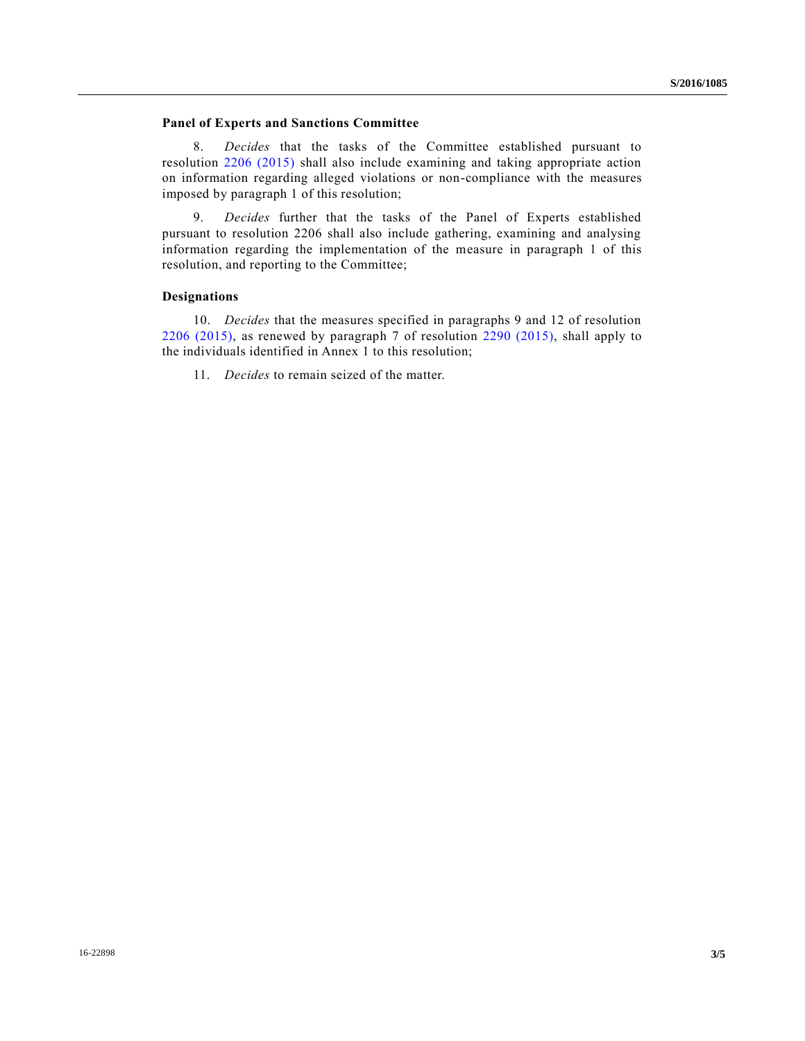### **Panel of Experts and Sanctions Committee**

8. *Decides* that the tasks of the Committee established pursuant to resolution [2206 \(2015\)](http://undocs.org/S/RES/2206(2015)) shall also include examining and taking appropriate action on information regarding alleged violations or non-compliance with the measures imposed by paragraph 1 of this resolution;

9. *Decides* further that the tasks of the Panel of Experts established pursuant to resolution 2206 shall also include gathering, examining and analysing information regarding the implementation of the measure in paragraph 1 of this resolution, and reporting to the Committee;

#### **Designations**

10. *Decides* that the measures specified in paragraphs 9 and 12 of resolution [2206 \(2015\),](http://undocs.org/S/RES/2206(2015)) as renewed by paragraph 7 of resolution [2290 \(2015\),](http://undocs.org/S/RES/2290(2015)) shall apply to the individuals identified in Annex 1 to this resolution;

11. *Decides* to remain seized of the matter.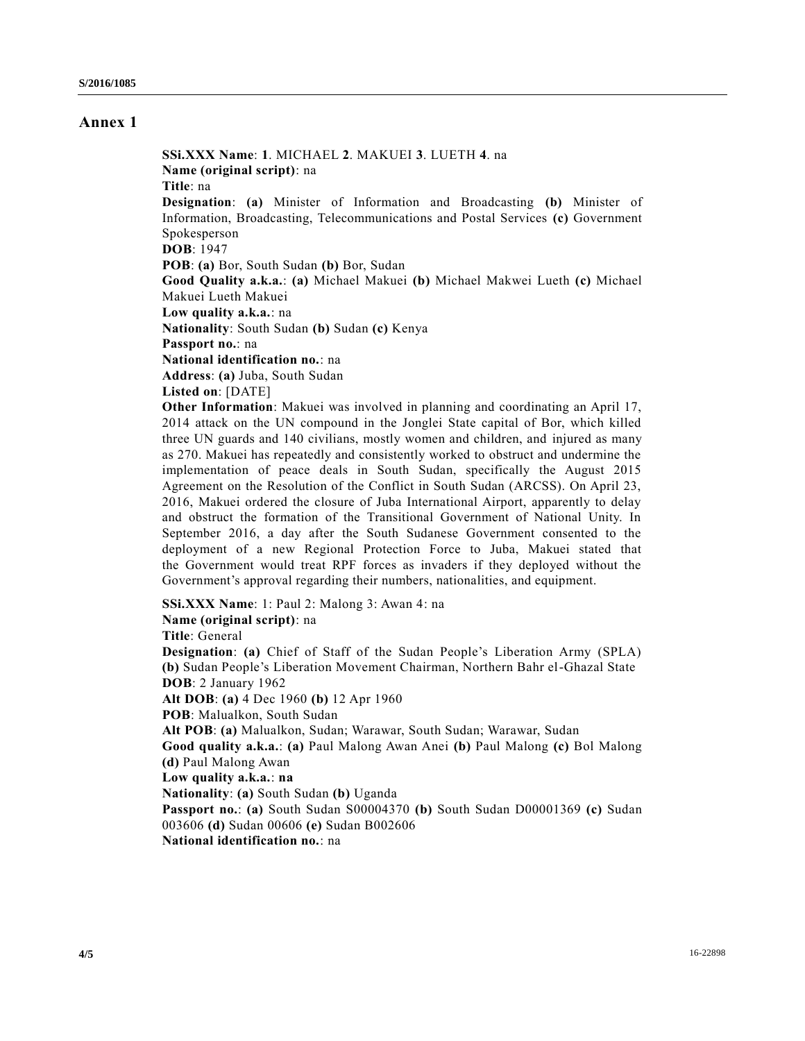## **Annex 1**

**SSi.XXX Name**: **1**. MICHAEL **2**. MAKUEI **3**. LUETH **4**. na **Name (original script)**: na **Title**: na **Designation**: **(a)** Minister of Information and Broadcasting **(b)** Minister of Information, Broadcasting, Telecommunications and Postal Services **(c)** Government Spokesperson **DOB**: 1947 **POB**: **(a)** Bor, South Sudan **(b)** Bor, Sudan **Good Quality a.k.a.**: **(a)** Michael Makuei **(b)** Michael Makwei Lueth **(c)** Michael Makuei Lueth Makuei **Low quality a.k.a.**: na **Nationality**: South Sudan **(b)** Sudan **(c)** Kenya **Passport no.**: na **National identification no.**: na **Address**: **(a)** Juba, South Sudan **Listed on**: [DATE] **Other Information**: Makuei was involved in planning and coordinating an April 17, 2014 attack on the UN compound in the Jonglei State capital of Bor, which killed

three UN guards and 140 civilians, mostly women and children, and injured as many as 270. Makuei has repeatedly and consistently worked to obstruct and undermine the implementation of peace deals in South Sudan, specifically the August 2015 Agreement on the Resolution of the Conflict in South Sudan (ARCSS). On April 23, 2016, Makuei ordered the closure of Juba International Airport, apparently to delay and obstruct the formation of the Transitional Government of National Unity. In September 2016, a day after the South Sudanese Government consented to the deployment of a new Regional Protection Force to Juba, Makuei stated that the Government would treat RPF forces as invaders if they deployed without the Government's approval regarding their numbers, nationalities, and equipment.

**SSi.XXX Name**: 1: Paul 2: Malong 3: Awan 4: na **Name (original script)**: na **Title**: General **Designation**: **(a)** Chief of Staff of the Sudan People's Liberation Army (SPLA) **(b)** Sudan People's Liberation Movement Chairman, Northern Bahr el-Ghazal State **DOB**: 2 January 1962 **Alt DOB**: **(a)** 4 Dec 1960 **(b)** 12 Apr 1960 **POB**: Malualkon, South Sudan **Alt POB**: **(a)** Malualkon, Sudan; Warawar, South Sudan; Warawar, Sudan **Good quality a.k.a.**: **(a)** Paul Malong Awan Anei **(b)** Paul Malong **(c)** Bol Malong **(d)** Paul Malong Awan **Low quality a.k.a.**: **na Nationality**: **(a)** South Sudan **(b)** Uganda **Passport no.**: **(a)** South Sudan S00004370 **(b)** South Sudan D00001369 **(c)** Sudan 003606 **(d)** Sudan 00606 **(e)** Sudan B002606 **National identification no.**: na